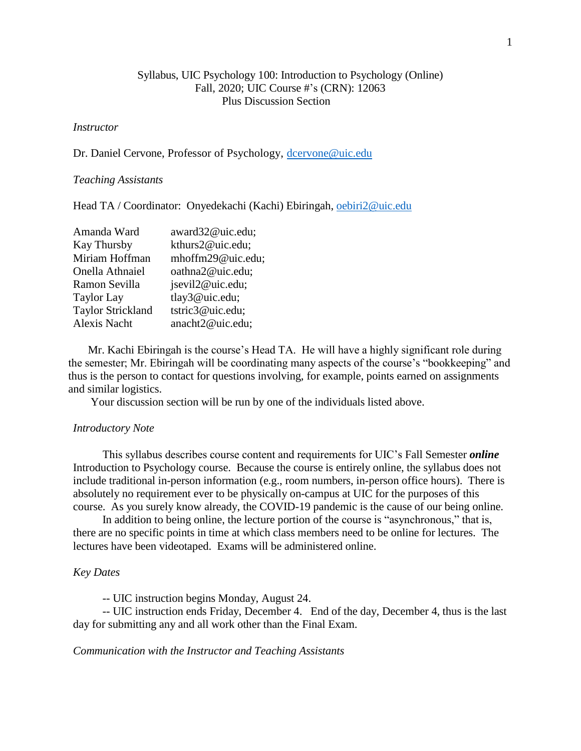# Syllabus, UIC Psychology 100: Introduction to Psychology (Online) Fall, 2020; UIC Course #'s (CRN): 12063 Plus Discussion Section

# *Instructor*

Dr. Daniel Cervone, Professor of Psychology, [dcervone@uic.edu](mailto:dcervone@uic.edu)

### *Teaching Assistants*

Head TA / Coordinator: Onyedekachi (Kachi) Ebiringah, [oebiri2@uic.edu](mailto:oebiri2@uic.edu)

| Amanda Ward              | award32@uic.edu;  |
|--------------------------|-------------------|
| <b>Kay Thursby</b>       | kthurs2@uic.edu;  |
| Miriam Hoffman           | mhoffm29@uic.edu; |
| Onella Athnaiel          | oathna2@uic.edu;  |
| Ramon Sevilla            | jsevil2@uic.edu;  |
| <b>Taylor Lay</b>        | tlay3@uic.edu;    |
| <b>Taylor Strickland</b> | tstric3@uic.edu;  |
| Alexis Nacht             | anacht2@uic.edu;  |
|                          |                   |

 Mr. Kachi Ebiringah is the course's Head TA. He will have a highly significant role during the semester; Mr. Ebiringah will be coordinating many aspects of the course's "bookkeeping" and thus is the person to contact for questions involving, for example, points earned on assignments and similar logistics.

Your discussion section will be run by one of the individuals listed above.

### *Introductory Note*

This syllabus describes course content and requirements for UIC's Fall Semester *online* Introduction to Psychology course. Because the course is entirely online, the syllabus does not include traditional in-person information (e.g., room numbers, in-person office hours). There is absolutely no requirement ever to be physically on-campus at UIC for the purposes of this course. As you surely know already, the COVID-19 pandemic is the cause of our being online.

In addition to being online, the lecture portion of the course is "asynchronous," that is, there are no specific points in time at which class members need to be online for lectures. The lectures have been videotaped. Exams will be administered online.

### *Key Dates*

-- UIC instruction begins Monday, August 24.

-- UIC instruction ends Friday, December 4. End of the day, December 4, thus is the last day for submitting any and all work other than the Final Exam.

### *Communication with the Instructor and Teaching Assistants*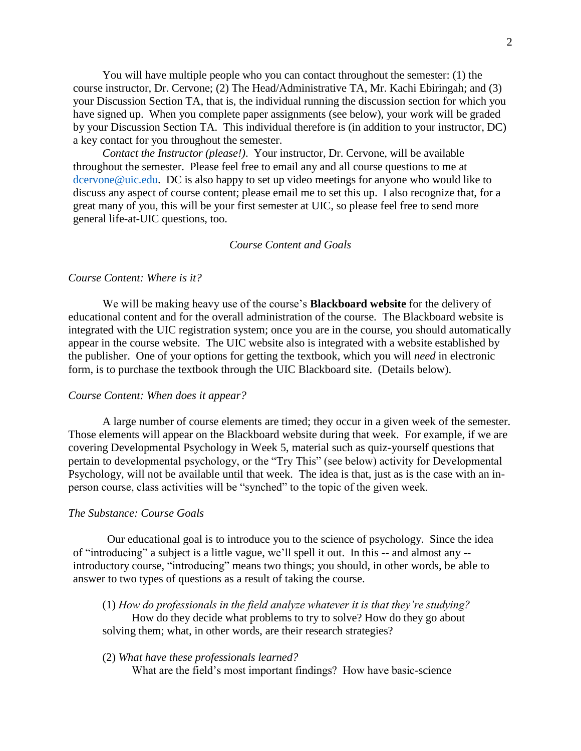You will have multiple people who you can contact throughout the semester: (1) the course instructor, Dr. Cervone; (2) The Head/Administrative TA, Mr. Kachi Ebiringah; and (3) your Discussion Section TA, that is, the individual running the discussion section for which you have signed up. When you complete paper assignments (see below), your work will be graded by your Discussion Section TA. This individual therefore is (in addition to your instructor, DC) a key contact for you throughout the semester.

*Contact the Instructor (please!)*. Your instructor, Dr. Cervone, will be available throughout the semester. Please feel free to email any and all course questions to me at [dcervone@uic.edu.](mailto:dcervone@uic.edu) DC is also happy to set up video meetings for anyone who would like to discuss any aspect of course content; please email me to set this up. I also recognize that, for a great many of you, this will be your first semester at UIC, so please feel free to send more general life-at-UIC questions, too.

# *Course Content and Goals*

## *Course Content: Where is it?*

We will be making heavy use of the course's **Blackboard website** for the delivery of educational content and for the overall administration of the course. The Blackboard website is integrated with the UIC registration system; once you are in the course, you should automatically appear in the course website. The UIC website also is integrated with a website established by the publisher. One of your options for getting the textbook, which you will *need* in electronic form, is to purchase the textbook through the UIC Blackboard site. (Details below).

#### *Course Content: When does it appear?*

A large number of course elements are timed; they occur in a given week of the semester. Those elements will appear on the Blackboard website during that week. For example, if we are covering Developmental Psychology in Week 5, material such as quiz-yourself questions that pertain to developmental psychology, or the "Try This" (see below) activity for Developmental Psychology, will not be available until that week. The idea is that, just as is the case with an inperson course, class activities will be "synched" to the topic of the given week.

# *The Substance: Course Goals*

Our educational goal is to introduce you to the science of psychology. Since the idea of "introducing" a subject is a little vague, we'll spell it out. In this -- and almost any - introductory course, "introducing" means two things; you should, in other words, be able to answer to two types of questions as a result of taking the course.

(1) *How do professionals in the field analyze whatever it is that they're studying?*  How do they decide what problems to try to solve? How do they go about solving them; what, in other words, are their research strategies?

# (2) *What have these professionals learned?*

What are the field's most important findings? How have basic-science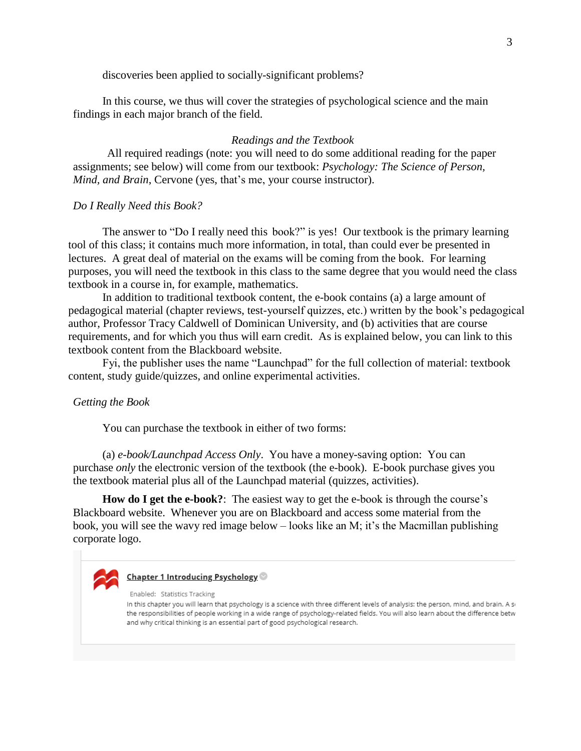discoveries been applied to socially-significant problems?

In this course, we thus will cover the strategies of psychological science and the main findings in each major branch of the field.

# *Readings and the Textbook*

All required readings (note: you will need to do some additional reading for the paper assignments; see below) will come from our textbook: *Psychology: The Science of Person, Mind, and Brain*, Cervone (yes, that's me, your course instructor).

### *Do I Really Need this Book?*

The answer to "Do I really need this book?" is yes! Our textbook is the primary learning tool of this class; it contains much more information, in total, than could ever be presented in lectures. A great deal of material on the exams will be coming from the book. For learning purposes, you will need the textbook in this class to the same degree that you would need the class textbook in a course in, for example, mathematics.

In addition to traditional textbook content, the e-book contains (a) a large amount of pedagogical material (chapter reviews, test-yourself quizzes, etc.) written by the book's pedagogical author, Professor Tracy Caldwell of Dominican University, and (b) activities that are course requirements, and for which you thus will earn credit. As is explained below, you can link to this textbook content from the Blackboard website.

Fyi, the publisher uses the name "Launchpad" for the full collection of material: textbook content, study guide/quizzes, and online experimental activities.

### *Getting the Book*

You can purchase the textbook in either of two forms:

(a) *e-book/Launchpad Access Only*. You have a money-saving option: You can purchase *only* the electronic version of the textbook (the e-book). E-book purchase gives you the textbook material plus all of the Launchpad material (quizzes, activities).

**How do I get the e-book?**: The easiest way to get the e-book is through the course's Blackboard website. Whenever you are on Blackboard and access some material from the book, you will see the wavy red image below – looks like an M; it's the Macmillan publishing corporate logo.



#### Chapter 1 Introducing Psychology

Enabled: Statistics Tracking

In this chapter you will learn that psychology is a science with three different levels of analysis: the person, mind, and brain. A si the responsibilities of people working in a wide range of psychology-related fields. You will also learn about the difference betw and why critical thinking is an essential part of good psychological research.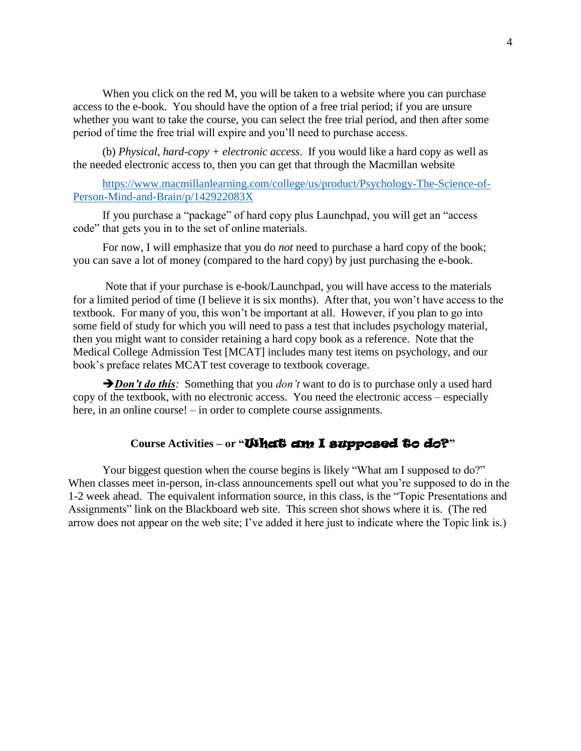When you click on the red M, you will be taken to a website where you can purchase access to the e-book. You should have the option of a free trial period; if you are unsure whether you want to take the course, you can select the free trial period, and then after some period of time the free trial will expire and you'll need to purchase access.

(b) *Physical, hard-copy + electronic access*. If you would like a hard copy as well as the needed electronic access to, then you can get that through the Macmillan website

[https://www.macmillanlearning.com/college/us/product/Psychology-The-Science-of-](https://www.macmillanlearning.com/college/us/product/Psychology-The-Science-of-Person-Mind-and-Brain/p/142922083X)[Person-Mind-and-Brain/p/142922083X](https://www.macmillanlearning.com/college/us/product/Psychology-The-Science-of-Person-Mind-and-Brain/p/142922083X)

If you purchase a "package" of hard copy plus Launchpad, you will get an "access code" that gets you in to the set of online materials.

For now, I will emphasize that you do *not* need to purchase a hard copy of the book; you can save a lot of money (compared to the hard copy) by just purchasing the e-book.

Note that if your purchase is e-book/Launchpad, you will have access to the materials for a limited period of time (I believe it is six months). After that, you won't have access to the textbook. For many of you, this won't be important at all. However, if you plan to go into some field of study for which you will need to pass a test that includes psychology material, then you might want to consider retaining a hard copy book as a reference. Note that the Medical College Admission Test [MCAT] includes many test items on psychology, and our book's preface relates MCAT test coverage to textbook coverage.

*Don't do this*: Something that you *don't* want to do is to purchase only a used hard copy of the textbook, with no electronic access. You need the electronic access – especially here, in an online course! – in order to complete course assignments.

# Course Activities – or "**What's am I supposed to do?**"

Your biggest question when the course begins is likely "What am I supposed to do?" When classes meet in-person, in-class announcements spell out what you're supposed to do in the 1-2 week ahead. The equivalent information source, in this class, is the "Topic Presentations and Assignments" link on the Blackboard web site. This screen shot shows where it is. (The red arrow does not appear on the web site; I've added it here just to indicate where the Topic link is.)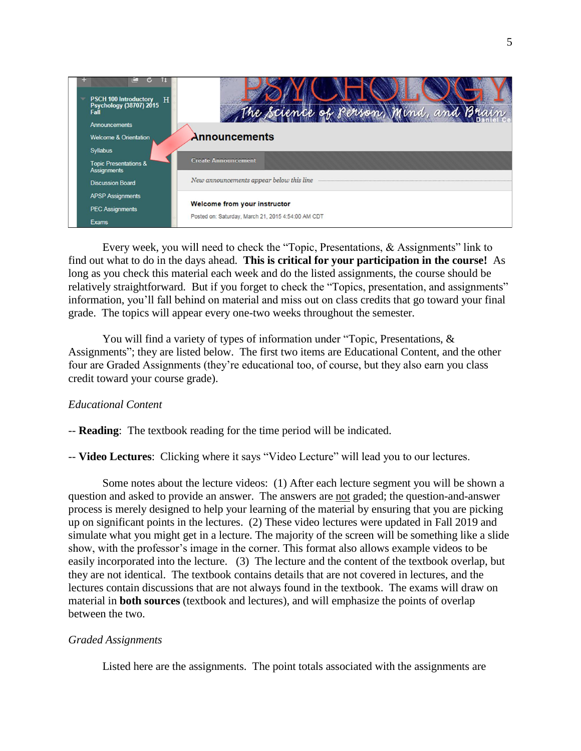

Every week, you will need to check the "Topic, Presentations, & Assignments" link to find out what to do in the days ahead. **This is critical for your participation in the course!** As long as you check this material each week and do the listed assignments, the course should be relatively straightforward. But if you forget to check the "Topics, presentation, and assignments" information, you'll fall behind on material and miss out on class credits that go toward your final grade. The topics will appear every one-two weeks throughout the semester.

You will find a variety of types of information under "Topic, Presentations, & Assignments"; they are listed below. The first two items are Educational Content, and the other four are Graded Assignments (they're educational too, of course, but they also earn you class credit toward your course grade).

# *Educational Content*

-- **Reading**: The textbook reading for the time period will be indicated.

-- **Video Lectures**: Clicking where it says "Video Lecture" will lead you to our lectures.

Some notes about the lecture videos: (1) After each lecture segment you will be shown a question and asked to provide an answer. The answers are not graded; the question-and-answer process is merely designed to help your learning of the material by ensuring that you are picking up on significant points in the lectures. (2) These video lectures were updated in Fall 2019 and simulate what you might get in a lecture. The majority of the screen will be something like a slide show, with the professor's image in the corner. This format also allows example videos to be easily incorporated into the lecture. (3) The lecture and the content of the textbook overlap, but they are not identical. The textbook contains details that are not covered in lectures, and the lectures contain discussions that are not always found in the textbook. The exams will draw on material in **both sources** (textbook and lectures), and will emphasize the points of overlap between the two.

# *Graded Assignments*

Listed here are the assignments. The point totals associated with the assignments are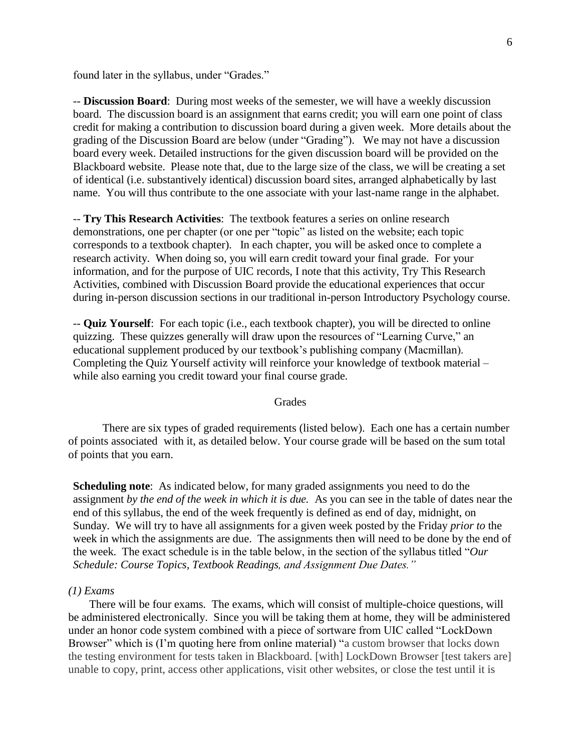found later in the syllabus, under "Grades."

-- **Discussion Board**: During most weeks of the semester, we will have a weekly discussion board. The discussion board is an assignment that earns credit; you will earn one point of class credit for making a contribution to discussion board during a given week. More details about the grading of the Discussion Board are below (under "Grading"). We may not have a discussion board every week. Detailed instructions for the given discussion board will be provided on the Blackboard website. Please note that, due to the large size of the class, we will be creating a set of identical (i.e. substantively identical) discussion board sites, arranged alphabetically by last name. You will thus contribute to the one associate with your last-name range in the alphabet.

-- **Try This Research Activities**: The textbook features a series on online research demonstrations, one per chapter (or one per "topic" as listed on the website; each topic corresponds to a textbook chapter). In each chapter, you will be asked once to complete a research activity. When doing so, you will earn credit toward your final grade. For your information, and for the purpose of UIC records, I note that this activity, Try This Research Activities, combined with Discussion Board provide the educational experiences that occur during in-person discussion sections in our traditional in-person Introductory Psychology course.

-- **Quiz Yourself**: For each topic (i.e., each textbook chapter), you will be directed to online quizzing. These quizzes generally will draw upon the resources of "Learning Curve," an educational supplement produced by our textbook's publishing company (Macmillan). Completing the Quiz Yourself activity will reinforce your knowledge of textbook material – while also earning you credit toward your final course grade.

# Grades

There are six types of graded requirements (listed below). Each one has a certain number of points associated with it, as detailed below. Your course grade will be based on the sum total of points that you earn.

**Scheduling note**: As indicated below, for many graded assignments you need to do the assignment *by the end of the week in which it is due.* As you can see in the table of dates near the end of this syllabus, the end of the week frequently is defined as end of day, midnight, on Sunday. We will try to have all assignments for a given week posted by the Friday *prior to* the week in which the assignments are due. The assignments then will need to be done by the end of the week. The exact schedule is in the table below, in the section of the syllabus titled "*Our Schedule: Course Topics, Textbook Readings, and Assignment Due Dates."*

# *(1) Exams*

There will be four exams. The exams, which will consist of multiple-choice questions, will be administered electronically. Since you will be taking them at home, they will be administered under an honor code system combined with a piece of sortware from UIC called "LockDown Browser" which is (I'm quoting here from online material) "a custom browser that locks down the testing environment for tests taken in Blackboard. [with] LockDown Browser [test takers are] unable to copy, print, access other applications, visit other websites, or close the test until it is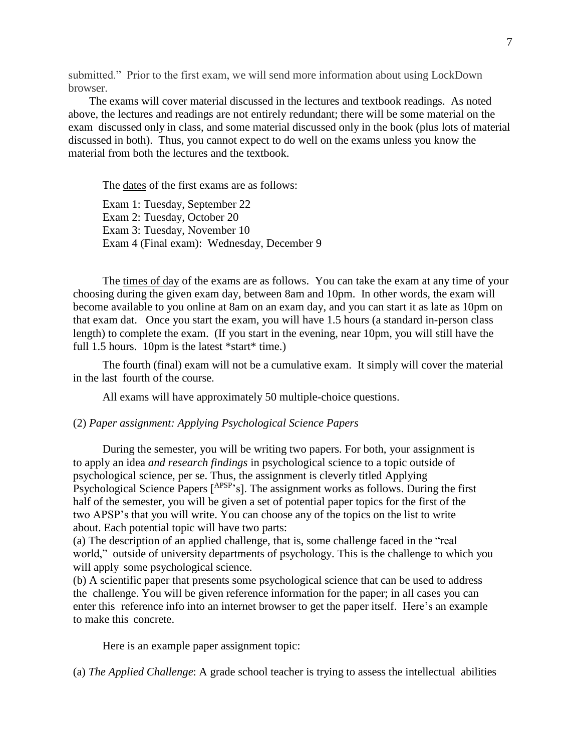submitted." Prior to the first exam, we will send more information about using LockDown browser.

The exams will cover material discussed in the lectures and textbook readings. As noted above, the lectures and readings are not entirely redundant; there will be some material on the exam discussed only in class, and some material discussed only in the book (plus lots of material discussed in both). Thus, you cannot expect to do well on the exams unless you know the material from both the lectures and the textbook.

The dates of the first exams are as follows:

Exam 1: Tuesday, September 22 Exam 2: Tuesday, October 20 Exam 3: Tuesday, November 10 Exam 4 (Final exam): Wednesday, December 9

The times of day of the exams are as follows. You can take the exam at any time of your choosing during the given exam day, between 8am and 10pm. In other words, the exam will become available to you online at 8am on an exam day, and you can start it as late as 10pm on that exam dat. Once you start the exam, you will have 1.5 hours (a standard in-person class length) to complete the exam. (If you start in the evening, near 10pm, you will still have the full 1.5 hours. 10pm is the latest \*start\* time.)

The fourth (final) exam will not be a cumulative exam. It simply will cover the material in the last fourth of the course.

All exams will have approximately 50 multiple-choice questions.

# (2) *Paper assignment: Applying Psychological Science Papers*

During the semester, you will be writing two papers. For both, your assignment is to apply an idea *and research findings* in psychological science to a topic outside of psychological science, per se. Thus, the assignment is cleverly titled Applying Psychological Science Papers [<sup>APSP</sup>'s]. The assignment works as follows. During the first half of the semester, you will be given a set of potential paper topics for the first of the two APSP's that you will write. You can choose any of the topics on the list to write about. Each potential topic will have two parts:

(a) The description of an applied challenge, that is, some challenge faced in the "real world," outside of university departments of psychology. This is the challenge to which you will apply some psychological science.

(b) A scientific paper that presents some psychological science that can be used to address the challenge. You will be given reference information for the paper; in all cases you can enter this reference info into an internet browser to get the paper itself. Here's an example to make this concrete.

Here is an example paper assignment topic:

(a) *The Applied Challenge*: A grade school teacher is trying to assess the intellectual abilities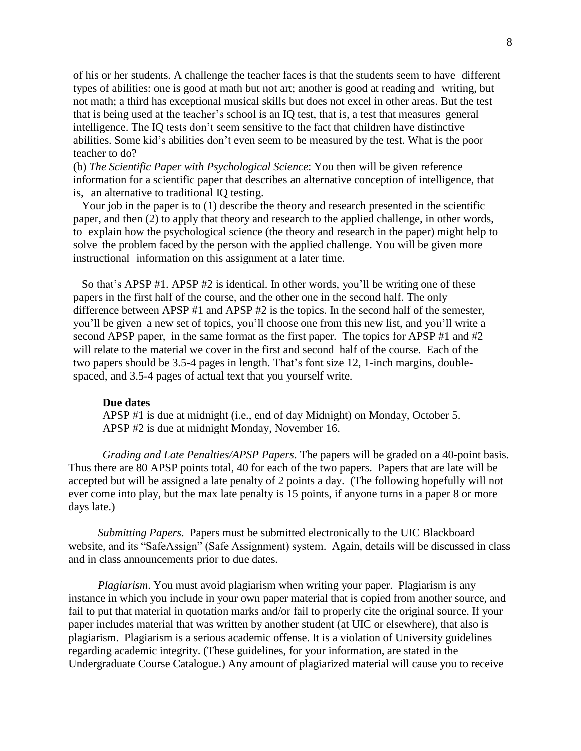of his or her students. A challenge the teacher faces is that the students seem to have different types of abilities: one is good at math but not art; another is good at reading and writing, but not math; a third has exceptional musical skills but does not excel in other areas. But the test that is being used at the teacher's school is an IQ test, that is, a test that measures general intelligence. The IQ tests don't seem sensitive to the fact that children have distinctive abilities. Some kid's abilities don't even seem to be measured by the test. What is the poor teacher to do?

(b) *The Scientific Paper with Psychological Science*: You then will be given reference information for a scientific paper that describes an alternative conception of intelligence, that is, an alternative to traditional IQ testing.

Your job in the paper is to (1) describe the theory and research presented in the scientific paper, and then (2) to apply that theory and research to the applied challenge, in other words, to explain how the psychological science (the theory and research in the paper) might help to solve the problem faced by the person with the applied challenge. You will be given more instructional information on this assignment at a later time.

So that's APSP #1. APSP #2 is identical. In other words, you'll be writing one of these papers in the first half of the course, and the other one in the second half. The only difference between APSP #1 and APSP #2 is the topics. In the second half of the semester, you'll be given a new set of topics, you'll choose one from this new list, and you'll write a second APSP paper, in the same format as the first paper. The topics for APSP #1 and #2 will relate to the material we cover in the first and second half of the course. Each of the two papers should be 3.5-4 pages in length. That's font size 12, 1-inch margins, doublespaced, and 3.5-4 pages of actual text that you yourself write.

### **Due dates**

APSP #1 is due at midnight (i.e., end of day Midnight) on Monday, October 5. APSP #2 is due at midnight Monday, November 16.

*Grading and Late Penalties/APSP Papers*. The papers will be graded on a 40-point basis. Thus there are 80 APSP points total, 40 for each of the two papers. Papers that are late will be accepted but will be assigned a late penalty of 2 points a day. (The following hopefully will not ever come into play, but the max late penalty is 15 points, if anyone turns in a paper 8 or more days late.)

*Submitting Papers*. Papers must be submitted electronically to the UIC Blackboard website, and its "SafeAssign" (Safe Assignment) system. Again, details will be discussed in class and in class announcements prior to due dates.

*Plagiarism*. You must avoid plagiarism when writing your paper. Plagiarism is any instance in which you include in your own paper material that is copied from another source, and fail to put that material in quotation marks and/or fail to properly cite the original source. If your paper includes material that was written by another student (at UIC or elsewhere), that also is plagiarism. Plagiarism is a serious academic offense. It is a violation of University guidelines regarding academic integrity. (These guidelines, for your information, are stated in the Undergraduate Course Catalogue.) Any amount of plagiarized material will cause you to receive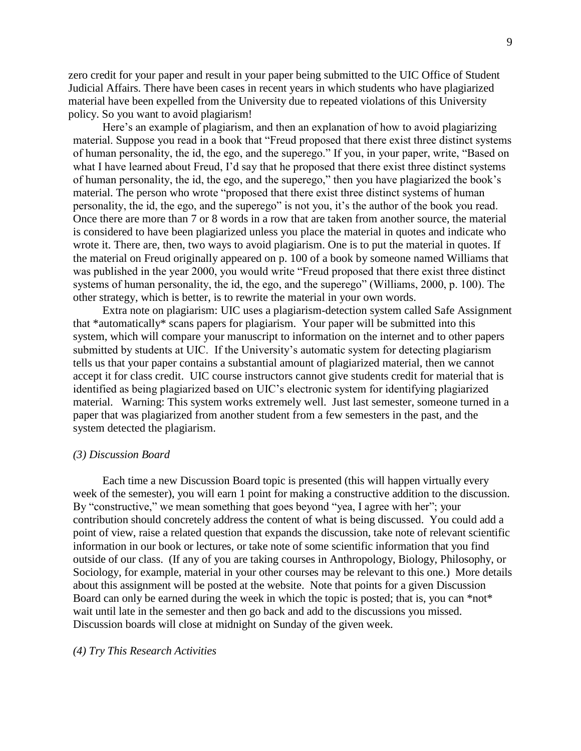zero credit for your paper and result in your paper being submitted to the UIC Office of Student Judicial Affairs. There have been cases in recent years in which students who have plagiarized material have been expelled from the University due to repeated violations of this University policy. So you want to avoid plagiarism!

Here's an example of plagiarism, and then an explanation of how to avoid plagiarizing material. Suppose you read in a book that "Freud proposed that there exist three distinct systems of human personality, the id, the ego, and the superego." If you, in your paper, write, "Based on what I have learned about Freud, I'd say that he proposed that there exist three distinct systems of human personality, the id, the ego, and the superego," then you have plagiarized the book's material. The person who wrote "proposed that there exist three distinct systems of human personality, the id, the ego, and the superego" is not you, it's the author of the book you read. Once there are more than 7 or 8 words in a row that are taken from another source, the material is considered to have been plagiarized unless you place the material in quotes and indicate who wrote it. There are, then, two ways to avoid plagiarism. One is to put the material in quotes. If the material on Freud originally appeared on p. 100 of a book by someone named Williams that was published in the year 2000, you would write "Freud proposed that there exist three distinct systems of human personality, the id, the ego, and the superego" (Williams, 2000, p. 100). The other strategy, which is better, is to rewrite the material in your own words.

Extra note on plagiarism: UIC uses a plagiarism-detection system called Safe Assignment that \*automatically\* scans papers for plagiarism. Your paper will be submitted into this system, which will compare your manuscript to information on the internet and to other papers submitted by students at UIC. If the University's automatic system for detecting plagiarism tells us that your paper contains a substantial amount of plagiarized material, then we cannot accept it for class credit. UIC course instructors cannot give students credit for material that is identified as being plagiarized based on UIC's electronic system for identifying plagiarized material. Warning: This system works extremely well. Just last semester, someone turned in a paper that was plagiarized from another student from a few semesters in the past, and the system detected the plagiarism.

# *(3) Discussion Board*

Each time a new Discussion Board topic is presented (this will happen virtually every week of the semester), you will earn 1 point for making a constructive addition to the discussion. By "constructive," we mean something that goes beyond "yea, I agree with her"; your contribution should concretely address the content of what is being discussed. You could add a point of view, raise a related question that expands the discussion, take note of relevant scientific information in our book or lectures, or take note of some scientific information that you find outside of our class. (If any of you are taking courses in Anthropology, Biology, Philosophy, or Sociology, for example, material in your other courses may be relevant to this one.) More details about this assignment will be posted at the website. Note that points for a given Discussion Board can only be earned during the week in which the topic is posted; that is, you can \*not\* wait until late in the semester and then go back and add to the discussions you missed. Discussion boards will close at midnight on Sunday of the given week.

### *(4) Try This Research Activities*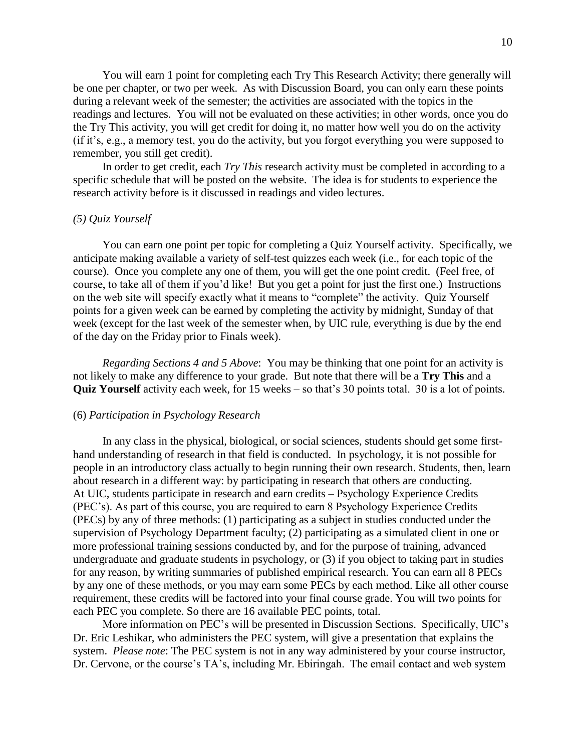You will earn 1 point for completing each Try This Research Activity; there generally will be one per chapter, or two per week. As with Discussion Board, you can only earn these points during a relevant week of the semester; the activities are associated with the topics in the readings and lectures. You will not be evaluated on these activities; in other words, once you do the Try This activity, you will get credit for doing it, no matter how well you do on the activity (if it's, e.g., a memory test, you do the activity, but you forgot everything you were supposed to remember, you still get credit).

In order to get credit, each *Try This* research activity must be completed in according to a specific schedule that will be posted on the website. The idea is for students to experience the research activity before is it discussed in readings and video lectures.

## *(5) Quiz Yourself*

You can earn one point per topic for completing a Quiz Yourself activity. Specifically, we anticipate making available a variety of self-test quizzes each week (i.e., for each topic of the course). Once you complete any one of them, you will get the one point credit. (Feel free, of course, to take all of them if you'd like! But you get a point for just the first one.) Instructions on the web site will specify exactly what it means to "complete" the activity. Quiz Yourself points for a given week can be earned by completing the activity by midnight, Sunday of that week (except for the last week of the semester when, by UIC rule, everything is due by the end of the day on the Friday prior to Finals week).

 *Regarding Sections 4 and 5 Above*: You may be thinking that one point for an activity is not likely to make any difference to your grade. But note that there will be a **Try This** and a **Quiz Yourself** activity each week, for 15 weeks – so that's 30 points total. 30 is a lot of points.

### (6) *Participation in Psychology Research*

In any class in the physical, biological, or social sciences, students should get some firsthand understanding of research in that field is conducted. In psychology, it is not possible for people in an introductory class actually to begin running their own research. Students, then, learn about research in a different way: by participating in research that others are conducting. At UIC, students participate in research and earn credits – Psychology Experience Credits (PEC's). As part of this course, you are required to earn 8 Psychology Experience Credits (PECs) by any of three methods: (1) participating as a subject in studies conducted under the supervision of Psychology Department faculty; (2) participating as a simulated client in one or more professional training sessions conducted by, and for the purpose of training, advanced undergraduate and graduate students in psychology, or (3) if you object to taking part in studies for any reason, by writing summaries of published empirical research. You can earn all 8 PECs by any one of these methods, or you may earn some PECs by each method. Like all other course requirement, these credits will be factored into your final course grade. You will two points for each PEC you complete. So there are 16 available PEC points, total.

More information on PEC's will be presented in Discussion Sections. Specifically, UIC's Dr. Eric Leshikar, who administers the PEC system, will give a presentation that explains the system. *Please note*: The PEC system is not in any way administered by your course instructor, Dr. Cervone, or the course's TA's, including Mr. Ebiringah. The email contact and web system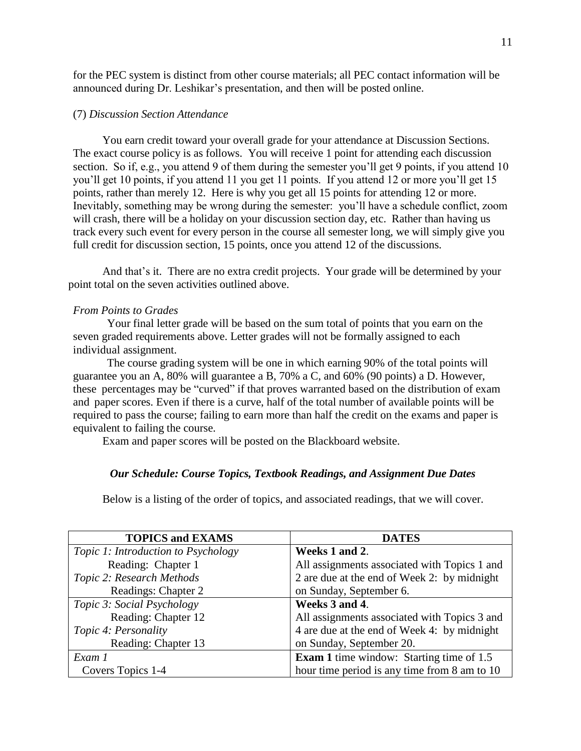for the PEC system is distinct from other course materials; all PEC contact information will be announced during Dr. Leshikar's presentation, and then will be posted online.

# (7) *Discussion Section Attendance*

You earn credit toward your overall grade for your attendance at Discussion Sections. The exact course policy is as follows. You will receive 1 point for attending each discussion section. So if, e.g., you attend 9 of them during the semester you'll get 9 points, if you attend 10 you'll get 10 points, if you attend 11 you get 11 points. If you attend 12 or more you'll get 15 points, rather than merely 12. Here is why you get all 15 points for attending 12 or more. Inevitably, something may be wrong during the semester: you'll have a schedule conflict, zoom will crash, there will be a holiday on your discussion section day, etc. Rather than having us track every such event for every person in the course all semester long, we will simply give you full credit for discussion section, 15 points, once you attend 12 of the discussions.

And that's it. There are no extra credit projects. Your grade will be determined by your point total on the seven activities outlined above.

# *From Points to Grades*

Your final letter grade will be based on the sum total of points that you earn on the seven graded requirements above. Letter grades will not be formally assigned to each individual assignment.

The course grading system will be one in which earning 90% of the total points will guarantee you an A, 80% will guarantee a B, 70% a C, and 60% (90 points) a D. However, these percentages may be "curved" if that proves warranted based on the distribution of exam and paper scores. Even if there is a curve, half of the total number of available points will be required to pass the course; failing to earn more than half the credit on the exams and paper is equivalent to failing the course.

Exam and paper scores will be posted on the Blackboard website.

### *Our Schedule: Course Topics, Textbook Readings, and Assignment Due Dates*

Below is a listing of the order of topics, and associated readings, that we will cover.

| <b>TOPICS and EXAMS</b>             | <b>DATES</b>                                    |
|-------------------------------------|-------------------------------------------------|
| Topic 1: Introduction to Psychology | Weeks 1 and 2.                                  |
| Reading: Chapter 1                  | All assignments associated with Topics 1 and    |
| Topic 2: Research Methods           | 2 are due at the end of Week 2: by midnight     |
| Readings: Chapter 2                 | on Sunday, September 6.                         |
| Topic 3: Social Psychology          | Weeks 3 and 4.                                  |
| Reading: Chapter 12                 | All assignments associated with Topics 3 and    |
| Topic 4: Personality                | 4 are due at the end of Week 4: by midnight     |
| Reading: Chapter 13                 | on Sunday, September 20.                        |
| Exam 1                              | <b>Exam 1</b> time window: Starting time of 1.5 |
| Covers Topics 1-4                   | hour time period is any time from 8 am to 10    |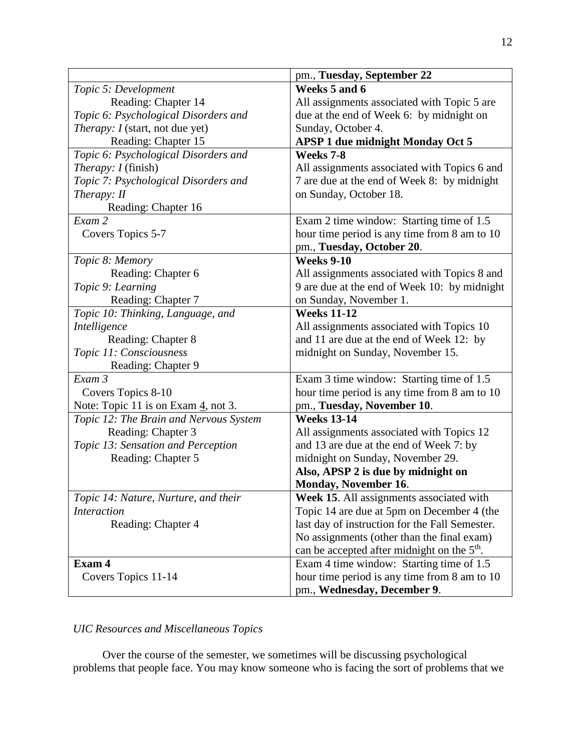|                                                  | pm., Tuesday, September 22                              |
|--------------------------------------------------|---------------------------------------------------------|
| Topic 5: Development                             | Weeks 5 and 6                                           |
| Reading: Chapter 14                              | All assignments associated with Topic 5 are             |
| Topic 6: Psychological Disorders and             | due at the end of Week 6: by midnight on                |
| <i>Therapy: I</i> (start, not due yet)           | Sunday, October 4.                                      |
| Reading: Chapter 15                              | <b>APSP 1 due midnight Monday Oct 5</b>                 |
| Topic 6: Psychological Disorders and             | Weeks 7-8                                               |
| <i>Therapy: I</i> (finish)                       | All assignments associated with Topics 6 and            |
| Topic 7: Psychological Disorders and             | 7 are due at the end of Week 8: by midnight             |
| Therapy: II                                      | on Sunday, October 18.                                  |
| Reading: Chapter 16                              |                                                         |
| Exam 2                                           | Exam 2 time window: Starting time of 1.5                |
| Covers Topics 5-7                                | hour time period is any time from 8 am to 10            |
|                                                  | pm., Tuesday, October 20.                               |
| Topic 8: Memory                                  | <b>Weeks 9-10</b>                                       |
| Reading: Chapter 6                               | All assignments associated with Topics 8 and            |
| Topic 9: Learning                                | 9 are due at the end of Week 10: by midnight            |
| Reading: Chapter 7                               | on Sunday, November 1.                                  |
| Topic 10: Thinking, Language, and                | <b>Weeks 11-12</b>                                      |
| Intelligence                                     | All assignments associated with Topics 10               |
| Reading: Chapter 8                               | and 11 are due at the end of Week 12: by                |
| Topic 11: Consciousness                          | midnight on Sunday, November 15.                        |
| Reading: Chapter 9                               |                                                         |
| Exam 3                                           | Exam 3 time window: Starting time of 1.5                |
| Covers Topics 8-10                               | hour time period is any time from 8 am to 10            |
| Note: Topic 11 is on Exam $\frac{4}{3}$ , not 3. | pm., Tuesday, November 10.                              |
| Topic 12: The Brain and Nervous System           | <b>Weeks 13-14</b>                                      |
| Reading: Chapter 3                               | All assignments associated with Topics 12               |
| Topic 13: Sensation and Perception               | and 13 are due at the end of Week 7: by                 |
| Reading: Chapter 5                               | midnight on Sunday, November 29.                        |
|                                                  | Also, APSP 2 is due by midnight on                      |
|                                                  | <b>Monday, November 16.</b>                             |
| Topic 14: Nature, Nurture, and their             | Week 15. All assignments associated with                |
| <b>Interaction</b>                               | Topic 14 are due at 5pm on December 4 (the              |
| Reading: Chapter 4                               | last day of instruction for the Fall Semester.          |
|                                                  | No assignments (other than the final exam)              |
|                                                  | can be accepted after midnight on the 5 <sup>th</sup> . |
| Exam 4                                           | Exam 4 time window: Starting time of 1.5                |
| Covers Topics 11-14                              | hour time period is any time from 8 am to 10            |
|                                                  | pm., Wednesday, December 9.                             |

# *UIC Resources and Miscellaneous Topics*

Over the course of the semester, we sometimes will be discussing psychological problems that people face. You may know someone who is facing the sort of problems that we